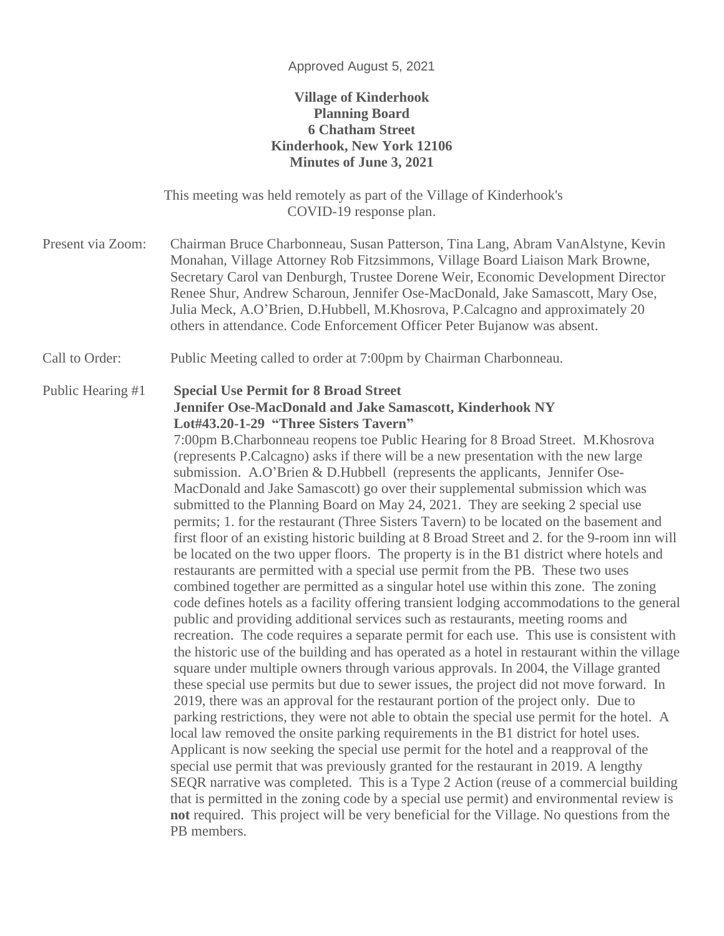#### Approved August 5, 2021

### **Village of Kinderhook Planning Board 6 Chatham Street Kinderhook, New York 12106 Minutes of June 3, 2021**

This meeting was held remotely as part of the Village of Kinderhook's COVID-19 response plan.

Present via Zoom: Chairman Bruce Charbonneau, Susan Patterson, Tina Lang, Abram VanAlstyne, Kevin Monahan, Village Attorney Rob Fitzsimmons, Village Board Liaison Mark Browne, Secretary Carol van Denburgh, Trustee Dorene Weir, Economic Development Director Renee Shur, Andrew Scharoun, Jennifer Ose-MacDonald, Jake Samascott, Mary Ose, Julia Meck, A.O'Brien, D.Hubbell, M.Khosrova, P.Calcagno and approximately 20 others in attendance. Code Enforcement Officer Peter Bujanow was absent.

Call to Order: Public Meeting called to order at 7:00pm by Chairman Charbonneau.

#### Public Hearing #1 **Special Use Permit for 8 Broad Street Jennifer Ose-MacDonald and Jake Samascott, Kinderhook NY Lot#43.20-1-29 "Three Sisters Tavern"**

7:00pm B.Charbonneau reopens toe Public Hearing for 8 Broad Street. M.Khosrova (represents P.Calcagno) asks if there will be a new presentation with the new large submission. A.O'Brien & D.Hubbell (represents the applicants, Jennifer Ose-MacDonald and Jake Samascott) go over their supplemental submission which was submitted to the Planning Board on May 24, 2021. They are seeking 2 special use permits; 1. for the restaurant (Three Sisters Tavern) to be located on the basement and first floor of an existing historic building at 8 Broad Street and 2. for the 9-room inn will be located on the two upper floors. The property is in the B1 district where hotels and restaurants are permitted with a special use permit from the PB. These two uses combined together are permitted as a singular hotel use within this zone. The zoning code defines hotels as a facility offering transient lodging accommodations to the general public and providing additional services such as restaurants, meeting rooms and recreation. The code requires a separate permit for each use. This use is consistent with the historic use of the building and has operated as a hotel in restaurant within the village square under multiple owners through various approvals. In 2004, the Village granted these special use permits but due to sewer issues, the project did not move forward. In 2019, there was an approval for the restaurant portion of the project only. Due to parking restrictions, they were not able to obtain the special use permit for the hotel. A local law removed the onsite parking requirements in the B1 district for hotel uses. Applicant is now seeking the special use permit for the hotel and a reapproval of the special use permit that was previously granted for the restaurant in 2019. A lengthy SEQR narrative was completed. This is a Type 2 Action (reuse of a commercial building that is permitted in the zoning code by a special use permit) and environmental review is **not** required. This project will be very beneficial for the Village. No questions from the PB members.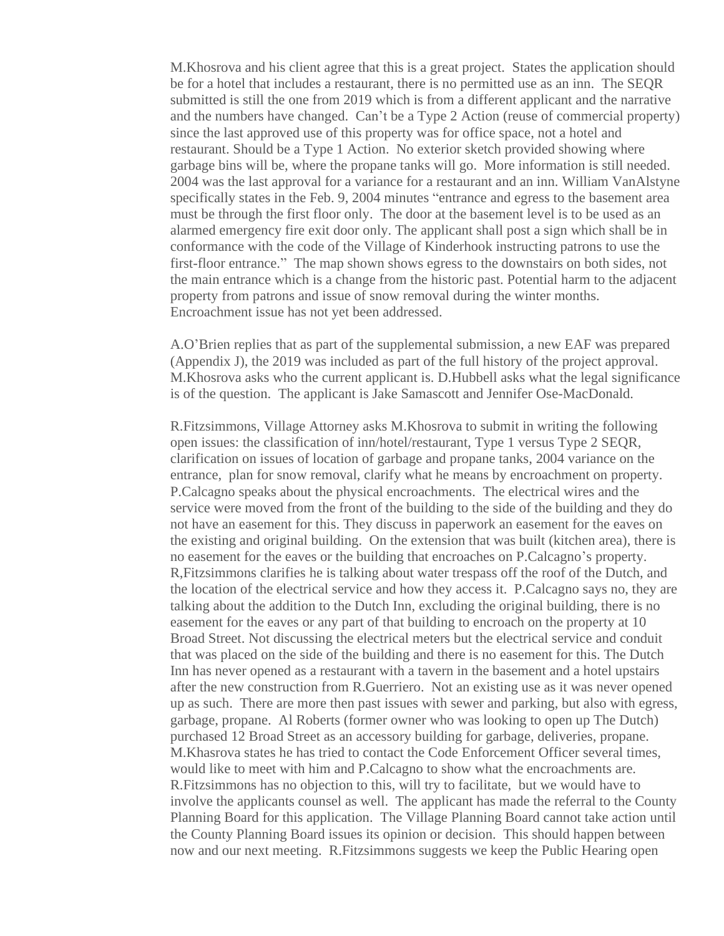M.Khosrova and his client agree that this is a great project. States the application should be for a hotel that includes a restaurant, there is no permitted use as an inn. The SEQR submitted is still the one from 2019 which is from a different applicant and the narrative and the numbers have changed. Can't be a Type 2 Action (reuse of commercial property) since the last approved use of this property was for office space, not a hotel and restaurant. Should be a Type 1 Action. No exterior sketch provided showing where garbage bins will be, where the propane tanks will go. More information is still needed. 2004 was the last approval for a variance for a restaurant and an inn. William VanAlstyne specifically states in the Feb. 9, 2004 minutes "entrance and egress to the basement area must be through the first floor only. The door at the basement level is to be used as an alarmed emergency fire exit door only. The applicant shall post a sign which shall be in conformance with the code of the Village of Kinderhook instructing patrons to use the first-floor entrance." The map shown shows egress to the downstairs on both sides, not the main entrance which is a change from the historic past. Potential harm to the adjacent property from patrons and issue of snow removal during the winter months. Encroachment issue has not yet been addressed.

A.O'Brien replies that as part of the supplemental submission, a new EAF was prepared (Appendix J), the 2019 was included as part of the full history of the project approval. M.Khosrova asks who the current applicant is. D.Hubbell asks what the legal significance is of the question. The applicant is Jake Samascott and Jennifer Ose-MacDonald.

R.Fitzsimmons, Village Attorney asks M.Khosrova to submit in writing the following open issues: the classification of inn/hotel/restaurant, Type 1 versus Type 2 SEQR, clarification on issues of location of garbage and propane tanks, 2004 variance on the entrance, plan for snow removal, clarify what he means by encroachment on property. P.Calcagno speaks about the physical encroachments. The electrical wires and the service were moved from the front of the building to the side of the building and they do not have an easement for this. They discuss in paperwork an easement for the eaves on the existing and original building. On the extension that was built (kitchen area), there is no easement for the eaves or the building that encroaches on P.Calcagno's property. R,Fitzsimmons clarifies he is talking about water trespass off the roof of the Dutch, and the location of the electrical service and how they access it. P.Calcagno says no, they are talking about the addition to the Dutch Inn, excluding the original building, there is no easement for the eaves or any part of that building to encroach on the property at 10 Broad Street. Not discussing the electrical meters but the electrical service and conduit that was placed on the side of the building and there is no easement for this. The Dutch Inn has never opened as a restaurant with a tavern in the basement and a hotel upstairs after the new construction from R.Guerriero. Not an existing use as it was never opened up as such. There are more then past issues with sewer and parking, but also with egress, garbage, propane. Al Roberts (former owner who was looking to open up The Dutch) purchased 12 Broad Street as an accessory building for garbage, deliveries, propane. M.Khasrova states he has tried to contact the Code Enforcement Officer several times, would like to meet with him and P.Calcagno to show what the encroachments are. R.Fitzsimmons has no objection to this, will try to facilitate, but we would have to involve the applicants counsel as well. The applicant has made the referral to the County Planning Board for this application. The Village Planning Board cannot take action until the County Planning Board issues its opinion or decision. This should happen between now and our next meeting. R.Fitzsimmons suggests we keep the Public Hearing open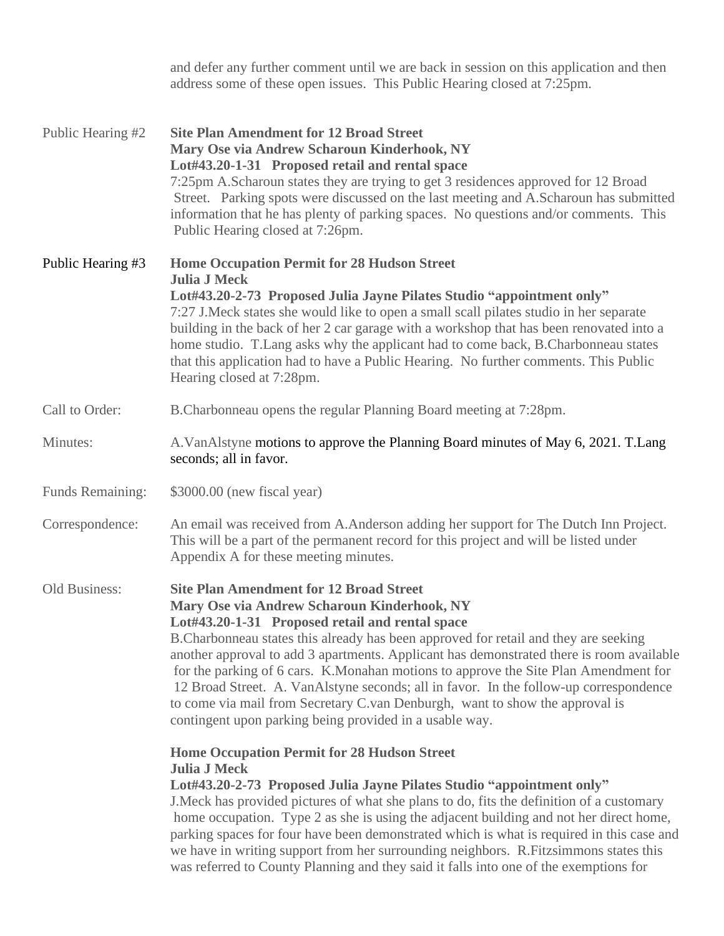|                         | and defer any further comment until we are back in session on this application and then<br>address some of these open issues. This Public Hearing closed at 7:25pm.                                                                                                                                                                                                                                                                                                                                                                                                                                                                                            |
|-------------------------|----------------------------------------------------------------------------------------------------------------------------------------------------------------------------------------------------------------------------------------------------------------------------------------------------------------------------------------------------------------------------------------------------------------------------------------------------------------------------------------------------------------------------------------------------------------------------------------------------------------------------------------------------------------|
| Public Hearing #2       | <b>Site Plan Amendment for 12 Broad Street</b><br>Mary Ose via Andrew Scharoun Kinderhook, NY<br>Lot#43.20-1-31 Proposed retail and rental space<br>7:25pm A.Scharoun states they are trying to get 3 residences approved for 12 Broad<br>Street. Parking spots were discussed on the last meeting and A.Scharoun has submitted<br>information that he has plenty of parking spaces. No questions and/or comments. This<br>Public Hearing closed at 7:26pm.                                                                                                                                                                                                    |
| Public Hearing #3       | <b>Home Occupation Permit for 28 Hudson Street</b><br><b>Julia J Meck</b><br>Lot#43.20-2-73 Proposed Julia Jayne Pilates Studio "appointment only"<br>7:27 J. Meck states she would like to open a small scall pilates studio in her separate<br>building in the back of her 2 car garage with a workshop that has been renovated into a<br>home studio. T. Lang asks why the applicant had to come back, B. Charbonneau states<br>that this application had to have a Public Hearing. No further comments. This Public<br>Hearing closed at 7:28pm.                                                                                                           |
| Call to Order:          | B. Charbonneau opens the regular Planning Board meeting at 7:28pm.                                                                                                                                                                                                                                                                                                                                                                                                                                                                                                                                                                                             |
| Minutes:                | A. Van Alstyne motions to approve the Planning Board minutes of May 6, 2021. T. Lang<br>seconds; all in favor.                                                                                                                                                                                                                                                                                                                                                                                                                                                                                                                                                 |
| <b>Funds Remaining:</b> | \$3000.00 (new fiscal year)                                                                                                                                                                                                                                                                                                                                                                                                                                                                                                                                                                                                                                    |
| Correspondence:         | An email was received from A.Anderson adding her support for The Dutch Inn Project.<br>This will be a part of the permanent record for this project and will be listed under<br>Appendix A for these meeting minutes.                                                                                                                                                                                                                                                                                                                                                                                                                                          |
| Old Business:           | <b>Site Plan Amendment for 12 Broad Street</b><br>Mary Ose via Andrew Scharoun Kinderhook, NY<br>Lot#43.20-1-31 Proposed retail and rental space<br>B.Charbonneau states this already has been approved for retail and they are seeking<br>another approval to add 3 apartments. Applicant has demonstrated there is room available<br>for the parking of 6 cars. K.Monahan motions to approve the Site Plan Amendment for<br>12 Broad Street. A. VanAlstyne seconds; all in favor. In the follow-up correspondence<br>to come via mail from Secretary C.van Denburgh, want to show the approval is<br>contingent upon parking being provided in a usable way. |
|                         | <b>Home Occupation Permit for 28 Hudson Street</b><br><b>Julia J Meck</b><br>Lot#43.20-2-73 Proposed Julia Jayne Pilates Studio "appointment only"<br>J. Meck has provided pictures of what she plans to do, fits the definition of a customary<br>home occupation. Type 2 as she is using the adjacent building and not her direct home,<br>parking spaces for four have been demonstrated which is what is required in this case and<br>we have in writing support from her surrounding neighbors. R.Fitzsimmons states this<br>was referred to County Planning and they said it falls into one of the exemptions for                                        |